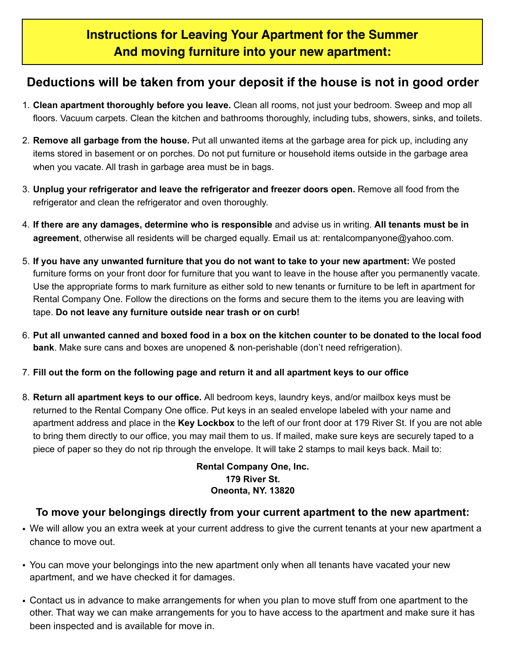## **Deductions will be taken from your deposit if the house is not in good order**

- 1. **Clean apartment thoroughly before you leave.** Clean all rooms, not just your bedroom. Sweep and mop all floors. Vacuum carpets. Clean the kitchen and bathrooms thoroughly, including tubs, showers, sinks, and toilets.
- 2. **Remove all garbage from the house.** Put all unwanted items at the garbage area for pick up, including any items stored in basement or on porches. Do not put furniture or household items outside in the garbage area when you vacate. All trash in garbage area must be in bags.
- 3. **Unplug your refrigerator and leave the refrigerator and freezer doors open.** Remove all food from the refrigerator and clean the refrigerator and oven thoroughly.
- 4. **If there are any damages, determine who is responsible** and advise us in writing. **All tenants must be in agreement**, otherwise all residents will be charged equally. Email us at: rentalcompanyone@yahoo.com.
- 5. **If you have any unwanted furniture that you do not want to take to your new apartment:** We posted furniture forms on your front door for furniture that you want to leave in the house after you permanently vacate. Use the appropriate forms to mark furniture as either sold to new tenants or furniture to be left in apartment for Rental Company One. Follow the directions on the forms and secure them to the items you are leaving with tape. **Do not leave any furniture outside near trash or on curb!**
- 6. **Put all unwanted canned and boxed food in a box on the kitchen counter to be donated to the local food bank**. Make sure cans and boxes are unopened & non-perishable (don't need refrigeration).
- 7. **Fill out the form on the following page and return it and all apartment keys to our office**
- 8. **Return all apartment keys to our office.** All bedroom keys, laundry keys, and/or mailbox keys must be returned to the Rental Company One office. Put keys in an sealed envelope labeled with your name and apartment address and place in the **Key Lockbox** to the left of our front door at 179 River St. If you are not able to bring them directly to our office, you may mail them to us. If mailed, make sure keys are securely taped to a piece of paper so they do not rip through the envelope. It will take 2 stamps to mail keys back. Mail to:

#### **Rental Company One, Inc. 179 River St. Oneonta, NY. 13820**

### **To move your belongings directly from your current apartment to the new apartment:**

- We will allow you an extra week at your current address to give the current tenants at your new apartment a chance to move out.
- You can move your belongings into the new apartment only when all tenants have vacated your new apartment, and we have checked it for damages.
- Contact us in advance to make arrangements for when you plan to move stuff from one apartment to the other. That way we can make arrangements for you to have access to the apartment and make sure it has been inspected and is available for move in.